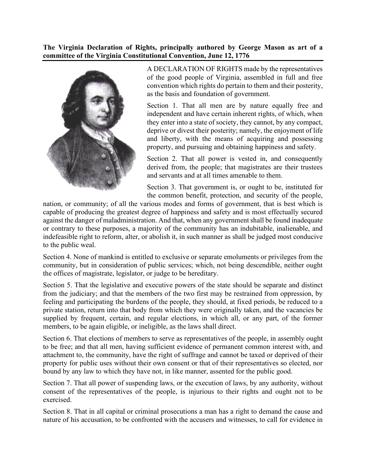## **The Virginia Declaration of Rights, principally authored by George Mason as art of a committee of the Virginia Constitutional Convention, June 12, 1776**



A DECLARATION OF RIGHTS made by the representatives of the good people of Virginia, assembled in full and free convention which rights do pertain to them and their posterity, as the basis and foundation of government.

Section 1. That all men are by nature equally free and independent and have certain inherent rights, of which, when they enter into a state of society, they cannot, by any compact, deprive or divest their posterity; namely, the enjoyment of life and liberty, with the means of acquiring and possessing property, and pursuing and obtaining happiness and safety.

Section 2. That all power is vested in, and consequently derived from, the people; that magistrates are their trustees and servants and at all times amenable to them.

Section 3. That government is, or ought to be, instituted for the common benefit, protection, and security of the people,

nation, or community; of all the various modes and forms of government, that is best which is capable of producing the greatest degree of happiness and safety and is most effectually secured against the danger of maladministration. And that, when any government shall be found inadequate or contrary to these purposes, a majority of the community has an indubitable, inalienable, and indefeasible right to reform, alter, or abolish it, in such manner as shall be judged most conducive to the public weal.

Section 4. None of mankind is entitled to exclusive or separate emoluments or privileges from the community, but in consideration of public services; which, not being descendible, neither ought the offices of magistrate, legislator, or judge to be hereditary.

Section 5. That the legislative and executive powers of the state should be separate and distinct from the judiciary; and that the members of the two first may be restrained from oppression, by feeling and participating the burdens of the people, they should, at fixed periods, be reduced to a private station, return into that body from which they were originally taken, and the vacancies be supplied by frequent, certain, and regular elections, in which all, or any part, of the former members, to be again eligible, or ineligible, as the laws shall direct.

Section 6. That elections of members to serve as representatives of the people, in assembly ought to be free; and that all men, having sufficient evidence of permanent common interest with, and attachment to, the community, have the right of suffrage and cannot be taxed or deprived of their property for public uses without their own consent or that of their representatives so elected, nor bound by any law to which they have not, in like manner, assented for the public good.

Section 7. That all power of suspending laws, or the execution of laws, by any authority, without consent of the representatives of the people, is injurious to their rights and ought not to be exercised.

Section 8. That in all capital or criminal prosecutions a man has a right to demand the cause and nature of his accusation, to be confronted with the accusers and witnesses, to call for evidence in